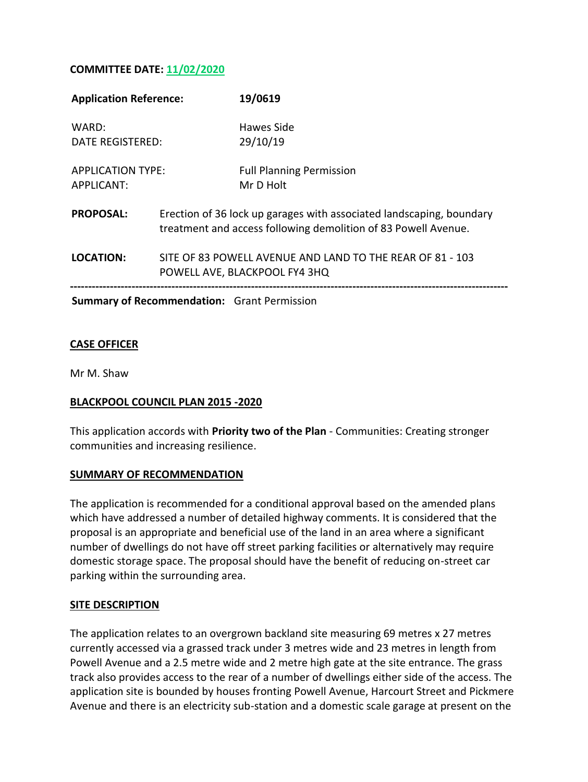## **COMMITTEE DATE: 11/02/2020**

| <b>Application Reference:</b>                      |                                                                                                                                        | 19/0619                                      |
|----------------------------------------------------|----------------------------------------------------------------------------------------------------------------------------------------|----------------------------------------------|
| WARD:                                              |                                                                                                                                        | Hawes Side                                   |
| DATE REGISTERED:                                   |                                                                                                                                        | 29/10/19                                     |
| <b>APPLICATION TYPE:</b><br>APPLICANT:             |                                                                                                                                        | <b>Full Planning Permission</b><br>Mr D Holt |
| <b>PROPOSAL:</b>                                   | Erection of 36 lock up garages with associated landscaping, boundary<br>treatment and access following demolition of 83 Powell Avenue. |                                              |
| LOCATION:                                          | SITE OF 83 POWELL AVENUE AND LAND TO THE REAR OF 81 - 103<br>POWELL AVE, BLACKPOOL FY4 3HQ                                             |                                              |
| <b>Summary of Recommendation:</b> Grant Permission |                                                                                                                                        |                                              |

## **CASE OFFICER**

Mr M. Shaw

### **BLACKPOOL COUNCIL PLAN 2015 -2020**

This application accords with **Priority two of the Plan** - Communities: Creating stronger communities and increasing resilience.

### **SUMMARY OF RECOMMENDATION**

The application is recommended for a conditional approval based on the amended plans which have addressed a number of detailed highway comments. It is considered that the proposal is an appropriate and beneficial use of the land in an area where a significant number of dwellings do not have off street parking facilities or alternatively may require domestic storage space. The proposal should have the benefit of reducing on-street car parking within the surrounding area.

### **SITE DESCRIPTION**

The application relates to an overgrown backland site measuring 69 metres x 27 metres currently accessed via a grassed track under 3 metres wide and 23 metres in length from Powell Avenue and a 2.5 metre wide and 2 metre high gate at the site entrance. The grass track also provides access to the rear of a number of dwellings either side of the access. The application site is bounded by houses fronting Powell Avenue, Harcourt Street and Pickmere Avenue and there is an electricity sub-station and a domestic scale garage at present on the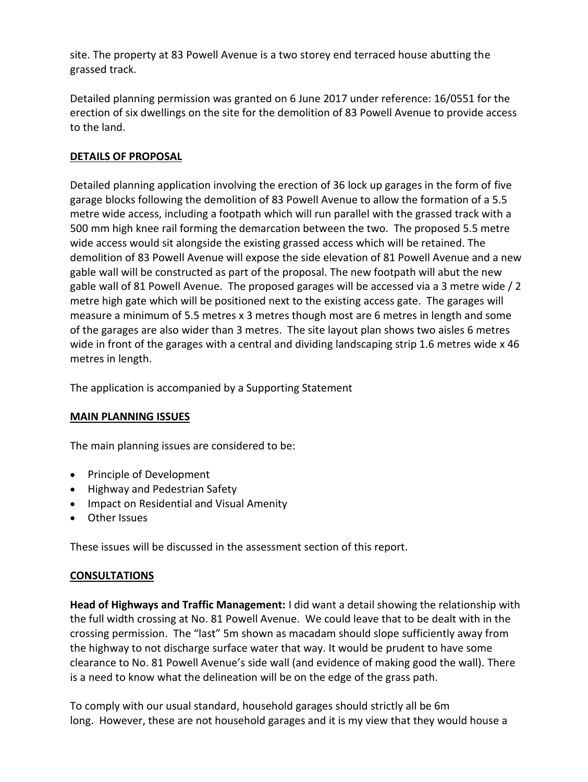site. The property at 83 Powell Avenue is a two storey end terraced house abutting the grassed track.

Detailed planning permission was granted on 6 June 2017 under reference: 16/0551 for the erection of six dwellings on the site for the demolition of 83 Powell Avenue to provide access to the land.

## **DETAILS OF PROPOSAL**

Detailed planning application involving the erection of 36 lock up garages in the form of five garage blocks following the demolition of 83 Powell Avenue to allow the formation of a 5.5 metre wide access, including a footpath which will run parallel with the grassed track with a 500 mm high knee rail forming the demarcation between the two. The proposed 5.5 metre wide access would sit alongside the existing grassed access which will be retained. The demolition of 83 Powell Avenue will expose the side elevation of 81 Powell Avenue and a new gable wall will be constructed as part of the proposal. The new footpath will abut the new gable wall of 81 Powell Avenue. The proposed garages will be accessed via a 3 metre wide / 2 metre high gate which will be positioned next to the existing access gate. The garages will measure a minimum of 5.5 metres x 3 metres though most are 6 metres in length and some of the garages are also wider than 3 metres. The site layout plan shows two aisles 6 metres wide in front of the garages with a central and dividing landscaping strip 1.6 metres wide x 46 metres in length.

The application is accompanied by a Supporting Statement

## **MAIN PLANNING ISSUES**

The main planning issues are considered to be:

- Principle of Development
- Highway and Pedestrian Safety
- Impact on Residential and Visual Amenity
- Other Issues

These issues will be discussed in the assessment section of this report.

## **CONSULTATIONS**

**Head of Highways and Traffic Management:** I did want a detail showing the relationship with the full width crossing at No. 81 Powell Avenue. We could leave that to be dealt with in the crossing permission. The "last" 5m shown as macadam should slope sufficiently away from the highway to not discharge surface water that way. It would be prudent to have some clearance to No. 81 Powell Avenue's side wall (and evidence of making good the wall). There is a need to know what the delineation will be on the edge of the grass path.

To comply with our usual standard, household garages should strictly all be 6m long. However, these are not household garages and it is my view that they would house a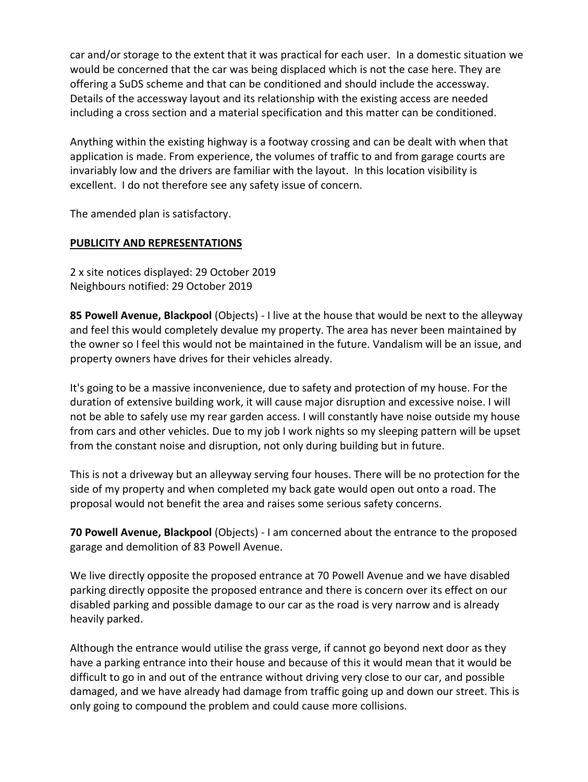car and/or storage to the extent that it was practical for each user. In a domestic situation we would be concerned that the car was being displaced which is not the case here. They are offering a SuDS scheme and that can be conditioned and should include the accessway. Details of the accessway layout and its relationship with the existing access are needed including a cross section and a material specification and this matter can be conditioned.

Anything within the existing highway is a footway crossing and can be dealt with when that application is made. From experience, the volumes of traffic to and from garage courts are invariably low and the drivers are familiar with the layout. In this location visibility is excellent. I do not therefore see any safety issue of concern.

The amended plan is satisfactory.

## **PUBLICITY AND REPRESENTATIONS**

2 x site notices displayed: 29 October 2019 Neighbours notified: 29 October 2019

**85 Powell Avenue, Blackpool** (Objects) - I live at the house that would be next to the alleyway and feel this would completely devalue my property. The area has never been maintained by the owner so I feel this would not be maintained in the future. Vandalism will be an issue, and property owners have drives for their vehicles already.

It's going to be a massive inconvenience, due to safety and protection of my house. For the duration of extensive building work, it will cause major disruption and excessive noise. I will not be able to safely use my rear garden access. I will constantly have noise outside my house from cars and other vehicles. Due to my job I work nights so my sleeping pattern will be upset from the constant noise and disruption, not only during building but in future.

This is not a driveway but an alleyway serving four houses. There will be no protection for the side of my property and when completed my back gate would open out onto a road. The proposal would not benefit the area and raises some serious safety concerns.

**70 Powell Avenue, Blackpool** (Objects) - I am concerned about the entrance to the proposed garage and demolition of 83 Powell Avenue.

We live directly opposite the proposed entrance at 70 Powell Avenue and we have disabled parking directly opposite the proposed entrance and there is concern over its effect on our disabled parking and possible damage to our car as the road is very narrow and is already heavily parked.

Although the entrance would utilise the grass verge, if cannot go beyond next door as they have a parking entrance into their house and because of this it would mean that it would be difficult to go in and out of the entrance without driving very close to our car, and possible damaged, and we have already had damage from traffic going up and down our street. This is only going to compound the problem and could cause more collisions.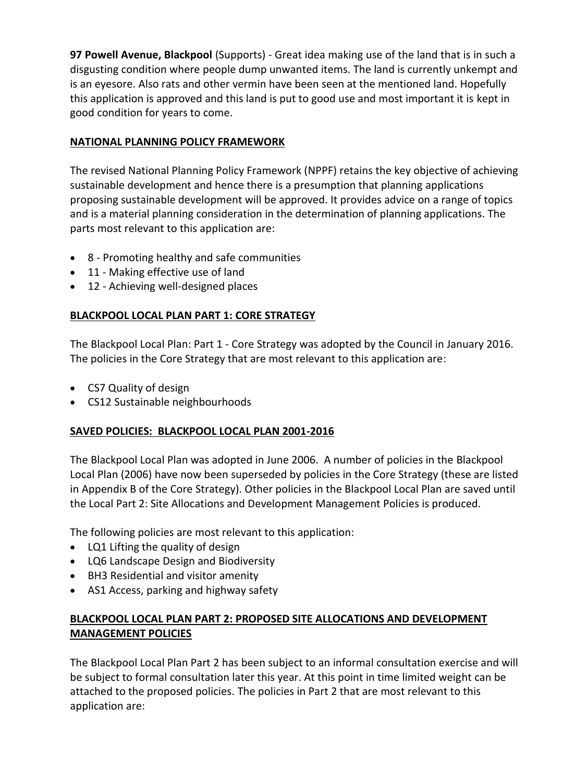**97 Powell Avenue, Blackpool** (Supports) - Great idea making use of the land that is in such a disgusting condition where people dump unwanted items. The land is currently unkempt and is an eyesore. Also rats and other vermin have been seen at the mentioned land. Hopefully this application is approved and this land is put to good use and most important it is kept in good condition for years to come.

## **NATIONAL PLANNING POLICY FRAMEWORK**

The revised National Planning Policy Framework (NPPF) retains the key objective of achieving sustainable development and hence there is a presumption that planning applications proposing sustainable development will be approved. It provides advice on a range of topics and is a material planning consideration in the determination of planning applications. The parts most relevant to this application are:

- 8 Promoting healthy and safe communities
- 11 Making effective use of land
- 12 Achieving well-designed places

# **BLACKPOOL LOCAL PLAN PART 1: CORE STRATEGY**

The Blackpool Local Plan: Part 1 - Core Strategy was adopted by the Council in January 2016. The policies in the Core Strategy that are most relevant to this application are:

- CS7 Quality of design
- CS12 Sustainable neighbourhoods

## **SAVED POLICIES: BLACKPOOL LOCAL PLAN 2001-2016**

The Blackpool Local Plan was adopted in June 2006. A number of policies in the Blackpool Local Plan (2006) have now been superseded by policies in the Core Strategy (these are listed in Appendix B of the Core Strategy). Other policies in the Blackpool Local Plan are saved until the Local Part 2: Site Allocations and Development Management Policies is produced.

The following policies are most relevant to this application:

- LQ1 Lifting the quality of design
- LQ6 Landscape Design and Biodiversity
- BH3 Residential and visitor amenity
- AS1 Access, parking and highway safety

# **BLACKPOOL LOCAL PLAN PART 2: PROPOSED SITE ALLOCATIONS AND DEVELOPMENT MANAGEMENT POLICIES**

The Blackpool Local Plan Part 2 has been subject to an informal consultation exercise and will be subject to formal consultation later this year. At this point in time limited weight can be attached to the proposed policies. The policies in Part 2 that are most relevant to this application are: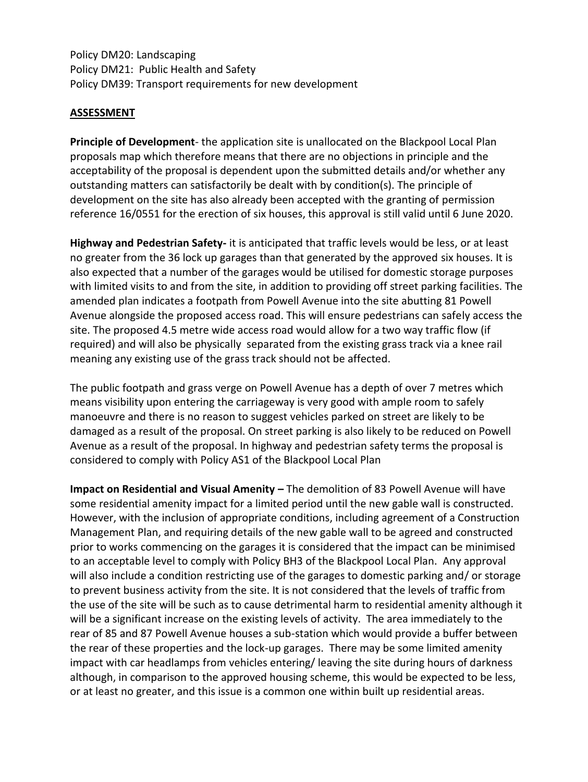Policy DM20: Landscaping Policy DM21: Public Health and Safety Policy DM39: Transport requirements for new development

## **ASSESSMENT**

**Principle of Development**- the application site is unallocated on the Blackpool Local Plan proposals map which therefore means that there are no objections in principle and the acceptability of the proposal is dependent upon the submitted details and/or whether any outstanding matters can satisfactorily be dealt with by condition(s). The principle of development on the site has also already been accepted with the granting of permission reference 16/0551 for the erection of six houses, this approval is still valid until 6 June 2020.

**Highway and Pedestrian Safety-** it is anticipated that traffic levels would be less, or at least no greater from the 36 lock up garages than that generated by the approved six houses. It is also expected that a number of the garages would be utilised for domestic storage purposes with limited visits to and from the site, in addition to providing off street parking facilities. The amended plan indicates a footpath from Powell Avenue into the site abutting 81 Powell Avenue alongside the proposed access road. This will ensure pedestrians can safely access the site. The proposed 4.5 metre wide access road would allow for a two way traffic flow (if required) and will also be physically separated from the existing grass track via a knee rail meaning any existing use of the grass track should not be affected.

The public footpath and grass verge on Powell Avenue has a depth of over 7 metres which means visibility upon entering the carriageway is very good with ample room to safely manoeuvre and there is no reason to suggest vehicles parked on street are likely to be damaged as a result of the proposal. On street parking is also likely to be reduced on Powell Avenue as a result of the proposal. In highway and pedestrian safety terms the proposal is considered to comply with Policy AS1 of the Blackpool Local Plan

**Impact on Residential and Visual Amenity –** The demolition of 83 Powell Avenue will have some residential amenity impact for a limited period until the new gable wall is constructed. However, with the inclusion of appropriate conditions, including agreement of a Construction Management Plan, and requiring details of the new gable wall to be agreed and constructed prior to works commencing on the garages it is considered that the impact can be minimised to an acceptable level to comply with Policy BH3 of the Blackpool Local Plan. Any approval will also include a condition restricting use of the garages to domestic parking and/ or storage to prevent business activity from the site. It is not considered that the levels of traffic from the use of the site will be such as to cause detrimental harm to residential amenity although it will be a significant increase on the existing levels of activity. The area immediately to the rear of 85 and 87 Powell Avenue houses a sub-station which would provide a buffer between the rear of these properties and the lock-up garages. There may be some limited amenity impact with car headlamps from vehicles entering/ leaving the site during hours of darkness although, in comparison to the approved housing scheme, this would be expected to be less, or at least no greater, and this issue is a common one within built up residential areas.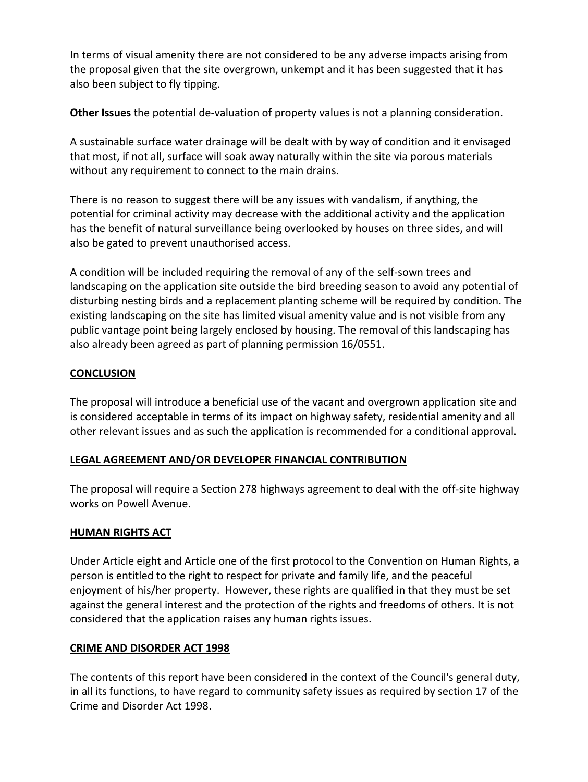In terms of visual amenity there are not considered to be any adverse impacts arising from the proposal given that the site overgrown, unkempt and it has been suggested that it has also been subject to fly tipping.

**Other Issues** the potential de-valuation of property values is not a planning consideration.

A sustainable surface water drainage will be dealt with by way of condition and it envisaged that most, if not all, surface will soak away naturally within the site via porous materials without any requirement to connect to the main drains.

There is no reason to suggest there will be any issues with vandalism, if anything, the potential for criminal activity may decrease with the additional activity and the application has the benefit of natural surveillance being overlooked by houses on three sides, and will also be gated to prevent unauthorised access.

A condition will be included requiring the removal of any of the self-sown trees and landscaping on the application site outside the bird breeding season to avoid any potential of disturbing nesting birds and a replacement planting scheme will be required by condition. The existing landscaping on the site has limited visual amenity value and is not visible from any public vantage point being largely enclosed by housing. The removal of this landscaping has also already been agreed as part of planning permission 16/0551.

## **CONCLUSION**

The proposal will introduce a beneficial use of the vacant and overgrown application site and is considered acceptable in terms of its impact on highway safety, residential amenity and all other relevant issues and as such the application is recommended for a conditional approval.

## **LEGAL AGREEMENT AND/OR DEVELOPER FINANCIAL CONTRIBUTION**

The proposal will require a Section 278 highways agreement to deal with the off-site highway works on Powell Avenue.

## **HUMAN RIGHTS ACT**

Under Article eight and Article one of the first protocol to the Convention on Human Rights, a person is entitled to the right to respect for private and family life, and the peaceful enjoyment of his/her property. However, these rights are qualified in that they must be set against the general interest and the protection of the rights and freedoms of others. It is not considered that the application raises any human rights issues.

## **CRIME AND DISORDER ACT 1998**

The contents of this report have been considered in the context of the Council's general duty, in all its functions, to have regard to community safety issues as required by section 17 of the Crime and Disorder Act 1998.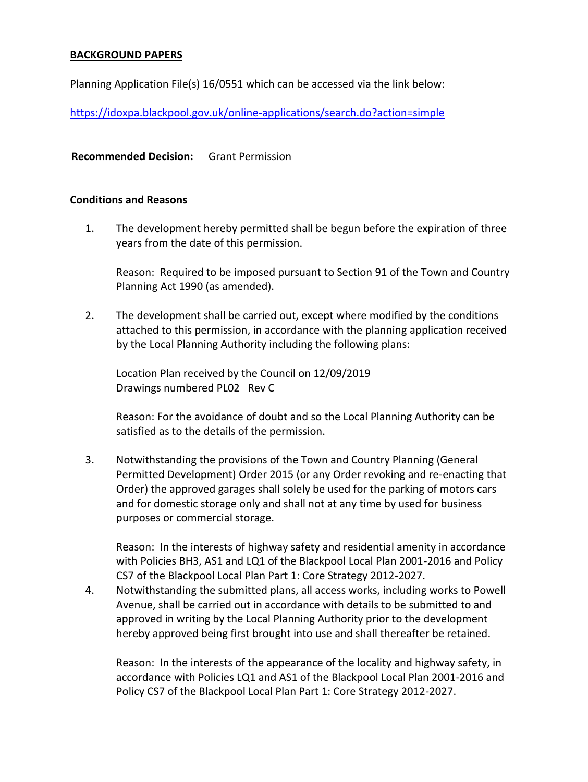#### **BACKGROUND PAPERS**

Planning Application File(s) 16/0551 which can be accessed via the link below:

https://idoxpa.blackpool.gov.uk/online-applications/search.do?action=simple

#### **Recommended Decision:** Grant Permission

#### **Conditions and Reasons**

1. The development hereby permitted shall be begun before the expiration of three years from the date of this permission.

Reason: Required to be imposed pursuant to Section 91 of the Town and Country Planning Act 1990 (as amended).

2. The development shall be carried out, except where modified by the conditions attached to this permission, in accordance with the planning application received by the Local Planning Authority including the following plans:

Location Plan received by the Council on 12/09/2019 Drawings numbered PL02 Rev C

Reason: For the avoidance of doubt and so the Local Planning Authority can be satisfied as to the details of the permission.

3. Notwithstanding the provisions of the Town and Country Planning (General Permitted Development) Order 2015 (or any Order revoking and re-enacting that Order) the approved garages shall solely be used for the parking of motors cars and for domestic storage only and shall not at any time by used for business purposes or commercial storage.

Reason: In the interests of highway safety and residential amenity in accordance with Policies BH3, AS1 and LQ1 of the Blackpool Local Plan 2001-2016 and Policy CS7 of the Blackpool Local Plan Part 1: Core Strategy 2012-2027.

4. Notwithstanding the submitted plans, all access works, including works to Powell Avenue, shall be carried out in accordance with details to be submitted to and approved in writing by the Local Planning Authority prior to the development hereby approved being first brought into use and shall thereafter be retained.

Reason: In the interests of the appearance of the locality and highway safety, in accordance with Policies LQ1 and AS1 of the Blackpool Local Plan 2001-2016 and Policy CS7 of the Blackpool Local Plan Part 1: Core Strategy 2012-2027.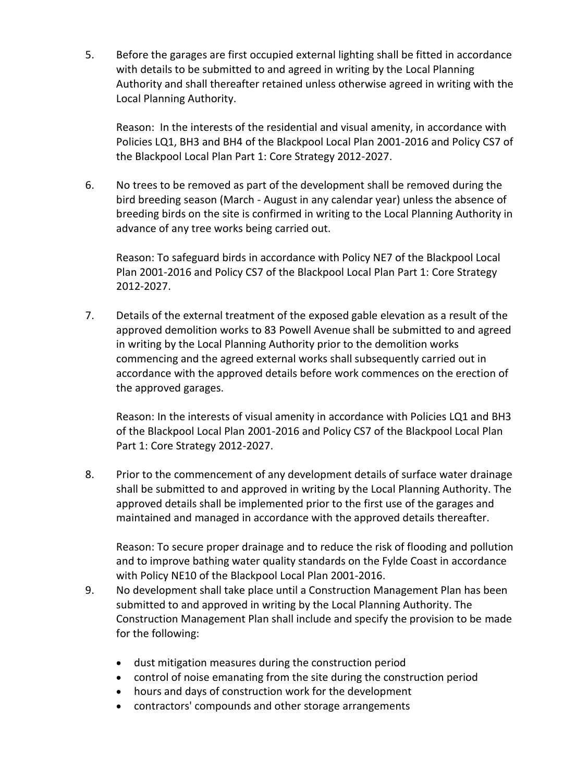5. Before the garages are first occupied external lighting shall be fitted in accordance with details to be submitted to and agreed in writing by the Local Planning Authority and shall thereafter retained unless otherwise agreed in writing with the Local Planning Authority.

Reason: In the interests of the residential and visual amenity, in accordance with Policies LQ1, BH3 and BH4 of the Blackpool Local Plan 2001-2016 and Policy CS7 of the Blackpool Local Plan Part 1: Core Strategy 2012-2027.

6. No trees to be removed as part of the development shall be removed during the bird breeding season (March - August in any calendar year) unless the absence of breeding birds on the site is confirmed in writing to the Local Planning Authority in advance of any tree works being carried out.

Reason: To safeguard birds in accordance with Policy NE7 of the Blackpool Local Plan 2001-2016 and Policy CS7 of the Blackpool Local Plan Part 1: Core Strategy 2012-2027.

7. Details of the external treatment of the exposed gable elevation as a result of the approved demolition works to 83 Powell Avenue shall be submitted to and agreed in writing by the Local Planning Authority prior to the demolition works commencing and the agreed external works shall subsequently carried out in accordance with the approved details before work commences on the erection of the approved garages.

Reason: In the interests of visual amenity in accordance with Policies LQ1 and BH3 of the Blackpool Local Plan 2001-2016 and Policy CS7 of the Blackpool Local Plan Part 1: Core Strategy 2012-2027.

8. Prior to the commencement of any development details of surface water drainage shall be submitted to and approved in writing by the Local Planning Authority. The approved details shall be implemented prior to the first use of the garages and maintained and managed in accordance with the approved details thereafter.

Reason: To secure proper drainage and to reduce the risk of flooding and pollution and to improve bathing water quality standards on the Fylde Coast in accordance with Policy NE10 of the Blackpool Local Plan 2001-2016.

- 9. No development shall take place until a Construction Management Plan has been submitted to and approved in writing by the Local Planning Authority. The Construction Management Plan shall include and specify the provision to be made for the following:
	- dust mitigation measures during the construction period
	- control of noise emanating from the site during the construction period
	- hours and days of construction work for the development
	- contractors' compounds and other storage arrangements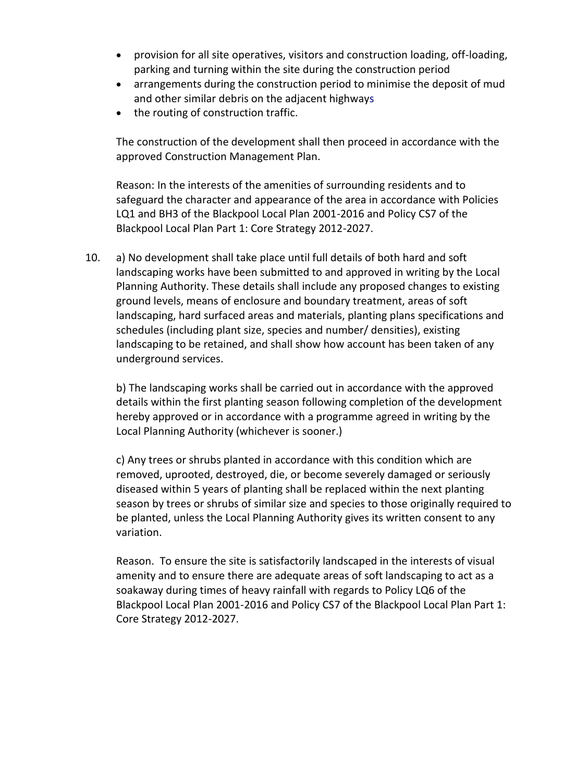- provision for all site operatives, visitors and construction loading, off-loading, parking and turning within the site during the construction period
- arrangements during the construction period to minimise the deposit of mud and other similar debris on the adjacent highways
- the routing of construction traffic.

The construction of the development shall then proceed in accordance with the approved Construction Management Plan.

Reason: In the interests of the amenities of surrounding residents and to safeguard the character and appearance of the area in accordance with Policies LQ1 and BH3 of the Blackpool Local Plan 2001-2016 and Policy CS7 of the Blackpool Local Plan Part 1: Core Strategy 2012-2027.

10. a) No development shall take place until full details of both hard and soft landscaping works have been submitted to and approved in writing by the Local Planning Authority. These details shall include any proposed changes to existing ground levels, means of enclosure and boundary treatment, areas of soft landscaping, hard surfaced areas and materials, planting plans specifications and schedules (including plant size, species and number/ densities), existing landscaping to be retained, and shall show how account has been taken of any underground services.

b) The landscaping works shall be carried out in accordance with the approved details within the first planting season following completion of the development hereby approved or in accordance with a programme agreed in writing by the Local Planning Authority (whichever is sooner.)

c) Any trees or shrubs planted in accordance with this condition which are removed, uprooted, destroyed, die, or become severely damaged or seriously diseased within 5 years of planting shall be replaced within the next planting season by trees or shrubs of similar size and species to those originally required to be planted, unless the Local Planning Authority gives its written consent to any variation.

Reason. To ensure the site is satisfactorily landscaped in the interests of visual amenity and to ensure there are adequate areas of soft landscaping to act as a soakaway during times of heavy rainfall with regards to Policy LQ6 of the Blackpool Local Plan 2001-2016 and Policy CS7 of the Blackpool Local Plan Part 1: Core Strategy 2012-2027.